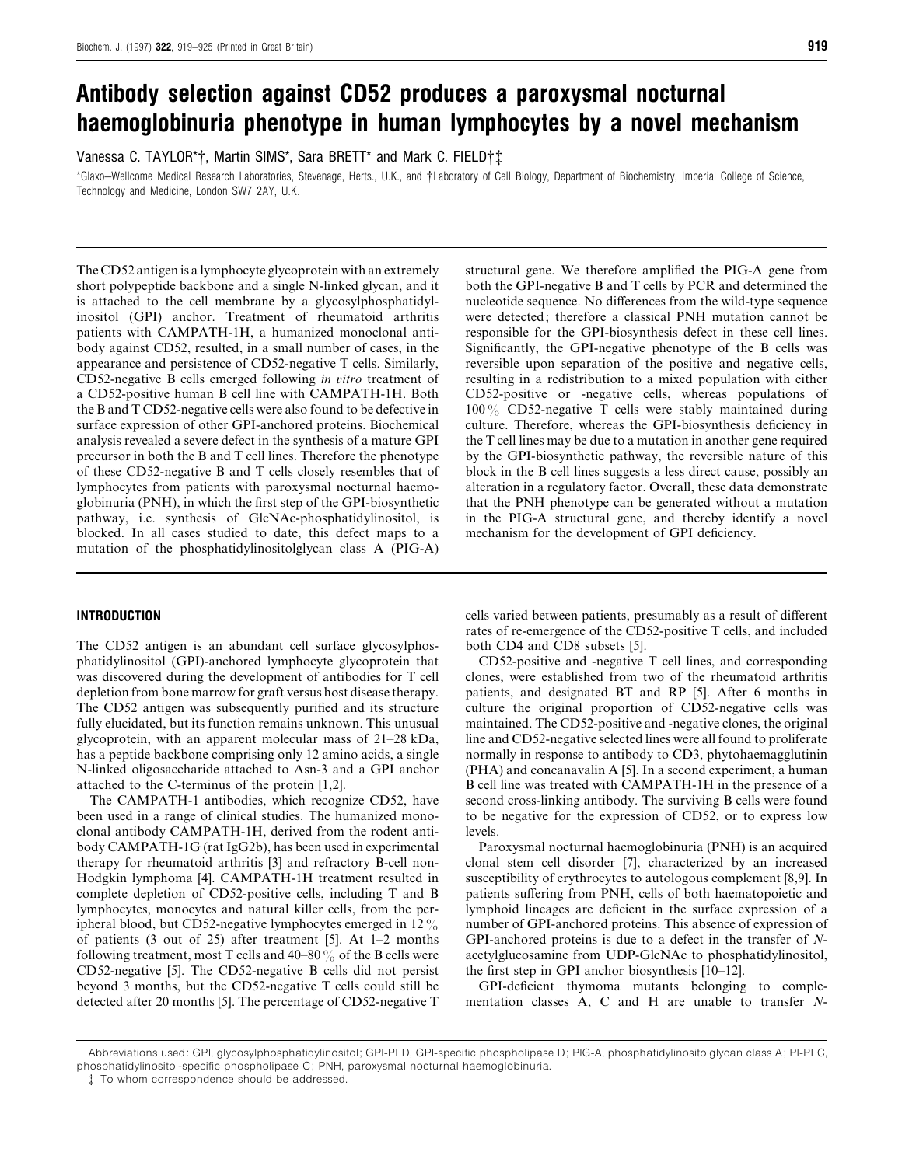# *Antibody selection against CD52 produces a paroxysmal nocturnal haemoglobinuria phenotype in human lymphocytes by a novel mechanism*

Vanessa C. TAYLOR\*†, Martin SIMS\*, Sara BRETT\* and Mark C. FIELD†‡

\*Glaxo–Wellcome Medical Research Laboratories, Stevenage, Herts., U.K., and †Laboratory of Cell Biology, Department of Biochemistry, Imperial College of Science, Technology and Medicine, London SW7 2AY, U.K.

The CD52 antigen is a lymphocyte glycoprotein with an extremely short polypeptide backbone and a single N-linked glycan, and it is attached to the cell membrane by a glycosylphosphatidylinositol (GPI) anchor. Treatment of rheumatoid arthritis patients with CAMPATH-1H, a humanized monoclonal antibody against CD52, resulted, in a small number of cases, in the appearance and persistence of CD52-negative T cells. Similarly, CD52-negative B cells emerged following *in itro* treatment of a CD52-positive human B cell line with CAMPATH-1H. Both the B and T CD52-negative cells were also found to be defective in surface expression of other GPI-anchored proteins. Biochemical analysis revealed a severe defect in the synthesis of a mature GPI precursor in both the B and T cell lines. Therefore the phenotype of these CD52-negative B and T cells closely resembles that of lymphocytes from patients with paroxysmal nocturnal haemoglobinuria (PNH), in which the first step of the GPI-biosynthetic pathway, i.e. synthesis of GlcNAc-phosphatidylinositol, is blocked. In all cases studied to date, this defect maps to a mutation of the phosphatidylinositolglycan class A (PIG-A)

## *INTRODUCTION*

The CD52 antigen is an abundant cell surface glycosylphosphatidylinositol (GPI)-anchored lymphocyte glycoprotein that was discovered during the development of antibodies for T cell depletion from bone marrow for graft versus host disease therapy. The CD52 antigen was subsequently purified and its structure fully elucidated, but its function remains unknown. This unusual glycoprotein, with an apparent molecular mass of 21–28 kDa, has a peptide backbone comprising only 12 amino acids, a single N-linked oligosaccharide attached to Asn-3 and a GPI anchor attached to the C-terminus of the protein [1,2].

The CAMPATH-1 antibodies, which recognize CD52, have been used in a range of clinical studies. The humanized monoclonal antibody CAMPATH-1H, derived from the rodent antibody CAMPATH-1G (rat IgG2b), has been used in experimental therapy for rheumatoid arthritis [3] and refractory B-cell non-Hodgkin lymphoma [4]. CAMPATH-1H treatment resulted in complete depletion of CD52-positive cells, including T and B lymphocytes, monocytes and natural killer cells, from the peripheral blood, but CD52-negative lymphocytes emerged in  $12\%$ of patients (3 out of 25) after treatment [5]. At 1–2 months following treatment, most T cells and  $40-80\%$  of the B cells were CD52-negative [5]. The CD52-negative B cells did not persist beyond 3 months, but the CD52-negative T cells could still be detected after 20 months [5]. The percentage of CD52-negative T structural gene. We therefore amplified the PIG-A gene from both the GPI-negative B and T cells by PCR and determined the nucleotide sequence. No differences from the wild-type sequence were detected; therefore a classical PNH mutation cannot be responsible for the GPI-biosynthesis defect in these cell lines. Significantly, the GPI-negative phenotype of the B cells was reversible upon separation of the positive and negative cells, resulting in a redistribution to a mixed population with either CD52-positive or -negative cells, whereas populations of 100% CD52-negative T cells were stably maintained during culture. Therefore, whereas the GPI-biosynthesis deficiency in the T cell lines may be due to a mutation in another gene required by the GPI-biosynthetic pathway, the reversible nature of this block in the B cell lines suggests a less direct cause, possibly an alteration in a regulatory factor. Overall, these data demonstrate that the PNH phenotype can be generated without a mutation in the PIG-A structural gene, and thereby identify a novel mechanism for the development of GPI deficiency.

cells varied between patients, presumably as a result of different rates of re-emergence of the CD52-positive T cells, and included both CD4 and CD8 subsets [5].

CD52-positive and -negative T cell lines, and corresponding clones, were established from two of the rheumatoid arthritis patients, and designated BT and RP [5]. After 6 months in culture the original proportion of CD52-negative cells was maintained. The CD52-positive and -negative clones, the original line and CD52-negative selected lines were all found to proliferate normally in response to antibody to CD3, phytohaemagglutinin (PHA) and concanavalin A [5]. In a second experiment, a human B cell line was treated with CAMPATH-1H in the presence of a second cross-linking antibody. The surviving B cells were found to be negative for the expression of CD52, or to express low levels.

Paroxysmal nocturnal haemoglobinuria (PNH) is an acquired clonal stem cell disorder [7], characterized by an increased susceptibility of erythrocytes to autologous complement [8,9]. In patients suffering from PNH, cells of both haematopoietic and lymphoid lineages are deficient in the surface expression of a number of GPI-anchored proteins. This absence of expression of GPI-anchored proteins is due to a defect in the transfer of *N*acetylglucosamine from UDP-GlcNAc to phosphatidylinositol, the first step in GPI anchor biosynthesis [10–12].

GPI-deficient thymoma mutants belonging to complementation classes A, C and H are unable to transfer *N*-

Abbreviations used: GPI, glycosylphosphatidylinositol; GPI-PLD, GPI-specific phospholipase D; PIG-A, phosphatidylinositolglycan class A; PI-PLC, phosphatidylinositol-specific phospholipase C; PNH, paroxysmal nocturnal haemoglobinuria.

<sup>‡</sup> To whom correspondence should be addressed.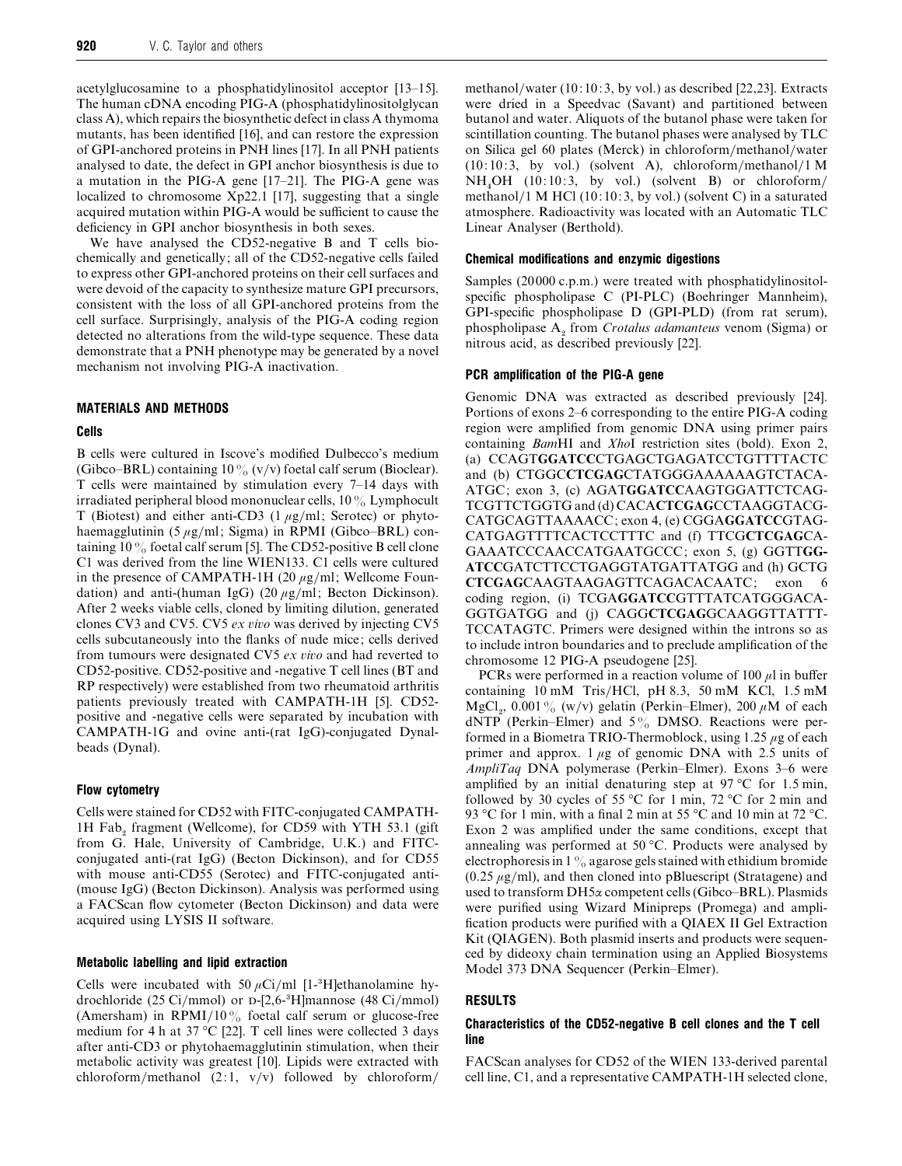acetylglucosamine to a phosphatidylinositol acceptor [13–15]. The human cDNA encoding PIG-A (phosphatidylinositolglycan class A), which repairs the biosynthetic defect in class A thymoma mutants, has been identified [16], and can restore the expression of GPI-anchored proteins in PNH lines [17]. In all PNH patients analysed to date, the defect in GPI anchor biosynthesis is due to a mutation in the PIG-A gene [17–21]. The PIG-A gene was localized to chromosome Xp22.1 [17], suggesting that a single acquired mutation within PIG-A would be sufficient to cause the deficiency in GPI anchor biosynthesis in both sexes.

We have analysed the CD52-negative B and T cells biochemically and genetically; all of the CD52-negative cells failed to express other GPI-anchored proteins on their cell surfaces and were devoid of the capacity to synthesize mature GPI precursors, consistent with the loss of all GPI-anchored proteins from the cell surface. Surprisingly, analysis of the PIG-A coding region detected no alterations from the wild-type sequence. These data demonstrate that a PNH phenotype may be generated by a novel mechanism not involving PIG-A inactivation.

## *MATERIALS AND METHODS*

#### *Cells*

B cells were cultured in Iscove's modified Dulbecco's medium (Gibco–BRL) containing  $10\%$  (v/v) foetal calf serum (Bioclear). T cells were maintained by stimulation every 7–14 days with irradiated peripheral blood mononuclear cells,  $10\%$  Lymphocult T (Biotest) and either anti-CD3 ( $1 \mu g/ml$ ; Serotec) or phytohaemagglutinin (5  $\mu$ g/ml; Sigma) in RPMI (Gibco–BRL) containing  $10\%$  foetal calf serum [5]. The CD52-positive B cell clone C1 was derived from the line WIEN133. C1 cells were cultured in the presence of CAMPATH-1H (20  $\mu$ g/ml; Wellcome Foundation) and anti-(human IgG) (20  $\mu$ g/ml; Becton Dickinson). After 2 weeks viable cells, cloned by limiting dilution, generated clones CV3 and CV5. CV5 *ex io* was derived by injecting CV5 cells subcutaneously into the flanks of nude mice; cells derived from tumours were designated CV5 *ex io* and had reverted to CD52-positive. CD52-positive and -negative T cell lines (BT and RP respectively) were established from two rheumatoid arthritis patients previously treated with CAMPATH-1H [5]. CD52 positive and -negative cells were separated by incubation with CAMPATH-1G and ovine anti-(rat IgG)-conjugated Dynalbeads (Dynal).

#### *Flow cytometry*

Cells were stained for CD52 with FITC-conjugated CAMPATH-1H Fab<sub>2</sub> fragment (Wellcome), for CD59 with YTH 53.1 (gift from G. Hale, University of Cambridge, U.K.) and FITCconjugated anti-(rat IgG) (Becton Dickinson), and for CD55 with mouse anti-CD55 (Serotec) and FITC-conjugated anti- (mouse IgG) (Becton Dickinson). Analysis was performed using a FACScan flow cytometer (Becton Dickinson) and data were acquired using LYSIS II software.

## *Metabolic labelling and lipid extraction*

Cells were incubated with 50  $\mu$ Ci/ml [1-<sup>3</sup>H]ethanolamine hydrochloride (25 Ci/mmol) or  $D-[2,6^{-3}H]$ mannose (48 Ci/mmol) (Amersham) in RPMI/10% foetal calf serum or glucose-free medium for 4 h at 37 °C [22]. T cell lines were collected 3 days after anti-CD3 or phytohaemagglutinin stimulation, when their metabolic activity was greatest [10]. Lipids were extracted with chloroform/methanol  $(2:1, v/v)$  followed by chloroform/

methanol/water (10:10:3, by vol.) as described [22,23]. Extracts were dried in a Speedvac (Savant) and partitioned between butanol and water. Aliquots of the butanol phase were taken for scintillation counting. The butanol phases were analysed by TLC on Silica gel 60 plates (Merck) in chloroform/methanol/water  $(10:10:3, \text{ by vol.})$  (solvent A), chloroform/methanol/1 M  $NH<sub>4</sub>OH$  (10:10:3, by vol.) (solvent B) or chloroform/ methanol}1 M HCl (10: 10: 3, by vol.) (solvent C) in a saturated atmosphere. Radioactivity was located with an Automatic TLC Linear Analyser (Berthold).

## *Chemical modifications and enzymic digestions*

Samples (20 000 c.p.m.) were treated with phosphatidylinositolspecific phospholipase C (PI-PLC) (Boehringer Mannheim), GPI-specific phospholipase D (GPI-PLD) (from rat serum), phospholipase A<sub>2</sub> from *Crotalus adamanteus* venom (Sigma) or nitrous acid, as described previously [22].

#### *PCR amplification of the PIG-A gene*

Genomic DNA was extracted as described previously [24]. Portions of exons 2–6 corresponding to the entire PIG-A coding region were amplified from genomic DNA using primer pairs containing *Bam*HI and *Xho*I restriction sites (bold). Exon 2, (a) CCAGT**GGATCC**CTGAGCTGAGATCCTGTTTTACTC and (b) CTGGC**CTCGAG**CTATGGGAAAAAAGTCTACA-ATGC; exon 3, (c) AGAT**GGATCC**AAGTGGATTCTCAG-TCGTTCTGGTG and (d) CACA**CTCGAG**CCTAAGGTACG-CATGCAGTTAAAACC; exon 4, (e) CGGA**GGATCC**GTAG-CATGAGTTTTCACTCCTTTC and (f) TTCG**CTCGAG**CA-GAAATCCCAACCATGAATGCCC; exon 5, (g) GGTT**GG-ATCC**GATCTTCCTGAGGTATGATTATGG and (h) GCTG **CTCGAG**CAAGTAAGAGTTCAGACACAATC; exon 6 coding region, (i) TCGA**GGATCC**GTTTATCATGGGACA-GGTGATGG and (j) CAGG**CTCGAG**GCAAGGTTATTT-TCCATAGTC. Primers were designed within the introns so as to include intron boundaries and to preclude amplification of the chromosome 12 PIG-A pseudogene [25].

PCRs were performed in a reaction volume of 100  $\mu$ l in buffer containing  $10 \text{ mM}$  Tris/HCl, pH 8.3, 50 mM KCl,  $1.5 \text{ mM}$ MgCl<sub>2</sub>, 0.001% (w/v) gelatin (Perkin–Elmer), 200  $\mu$ M of each dNTP (Perkin–Elmer) and  $5\%$  DMSO. Reactions were performed in a Biometra TRIO-Thermoblock, using  $1.25 \mu$ g of each primer and approx.  $1 \mu$ g of genomic DNA with 2.5 units of *AmpliTaq* DNA polymerase (Perkin–Elmer). Exons 3–6 were amplified by an initial denaturing step at  $97^{\circ}$ C for 1.5 min, followed by 30 cycles of 55 °C for 1 min, 72 °C for 2 min and 93 °C for 1 min, with a final 2 min at 55 °C and 10 min at 72 °C. Exon 2 was amplified under the same conditions, except that annealing was performed at 50 °C. Products were analysed by electrophoresis in  $1\%$  agarose gels stained with ethidium bromide  $(0.25 \mu g/ml)$ , and then cloned into pBluescript (Stratagene) and used to transform DH5α competent cells (Gibco–BRL). Plasmids were purified using Wizard Minipreps (Promega) and amplification products were purified with a QIAEX II Gel Extraction Kit (QIAGEN). Both plasmid inserts and products were sequenced by dideoxy chain termination using an Applied Biosystems Model 373 DNA Sequencer (Perkin–Elmer).

#### *RESULTS*

#### *Characteristics of the CD52-negative B cell clones and the T cell line*

FACScan analyses for CD52 of the WIEN 133-derived parental cell line, C1, and a representative CAMPATH-1H selected clone,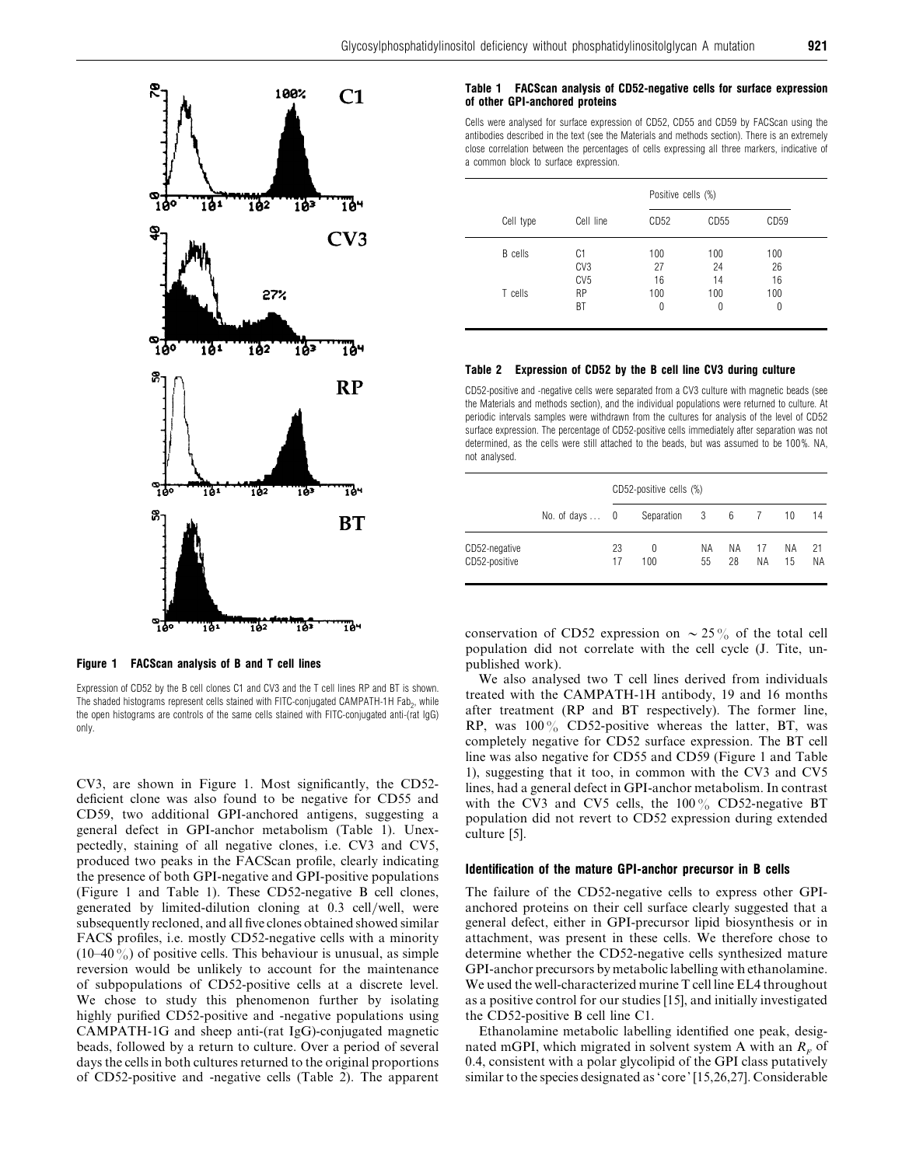

## *Figure 1 FACScan analysis of B and T cell lines*

Expression of CD52 by the B cell clones C1 and CV3 and the T cell lines RP and BT is shown. The shaded histograms represent cells stained with FITC-conjugated CAMPATH-1H Fab<sub>2</sub>, while the open histograms are controls of the same cells stained with FITC-conjugated anti-(rat IgG) only.

CV3, are shown in Figure 1. Most significantly, the CD52 deficient clone was also found to be negative for CD55 and CD59, two additional GPI-anchored antigens, suggesting a general defect in GPI-anchor metabolism (Table 1). Unexpectedly, staining of all negative clones, i.e. CV3 and CV5, produced two peaks in the FACScan profile, clearly indicating the presence of both GPI-negative and GPI-positive populations (Figure 1 and Table 1). These CD52-negative B cell clones, generated by limited-dilution cloning at 0.3 cell/well, were subsequently recloned, and all five clones obtained showed similar FACS profiles, i.e. mostly CD52-negative cells with a minority  $(10-40\%)$  of positive cells. This behaviour is unusual, as simple reversion would be unlikely to account for the maintenance of subpopulations of CD52-positive cells at a discrete level. We chose to study this phenomenon further by isolating highly purified CD52-positive and -negative populations using CAMPATH-1G and sheep anti-(rat IgG)-conjugated magnetic beads, followed by a return to culture. Over a period of several days the cells in both cultures returned to the original proportions of CD52-positive and -negative cells (Table 2). The apparent

#### *Table 1 FACScan analysis of CD52-negative cells for surface expression of other GPI-anchored proteins*

Cells were analysed for surface expression of CD52, CD55 and CD59 by FACScan using the antibodies described in the text (see the Materials and methods section). There is an extremely close correlation between the percentages of cells expressing all three markers, indicative of a common block to surface expression.

|                |                 | Positive cells (%) |                  |      |  |
|----------------|-----------------|--------------------|------------------|------|--|
| Cell type      | Cell line       | CD <sub>52</sub>   | CD <sub>55</sub> | CD59 |  |
| <b>B</b> cells | C1              | 100                | 100              | 100  |  |
|                | CV <sub>3</sub> | 27                 | 24               | 26   |  |
|                | CV <sub>5</sub> | 16                 | 14               | 16   |  |
| T cells        | <b>RP</b>       | 100                | 100              | 100  |  |
|                | BT              | 0                  | 0                | 0    |  |

#### *Table 2 Expression of CD52 by the B cell line CV3 during culture*

CD52-positive and -negative cells were separated from a CV3 culture with magnetic beads (see the Materials and methods section), and the individual populations were returned to culture. At periodic intervals samples were withdrawn from the cultures for analysis of the level of CD52 surface expression. The percentage of CD52-positive cells immediately after separation was not determined, as the cells were still attached to the beads, but was assumed to be 100 %. NA, not analysed.

|                                | No. of days $\ldots$ 0 | CD52-positive cells (%) |               |           |          |          |          |          |  |
|--------------------------------|------------------------|-------------------------|---------------|-----------|----------|----------|----------|----------|--|
|                                |                        |                         | Separation    | 3 6 7     |          |          | 10       | 14       |  |
| CD52-negative<br>CD52-positive |                        | 23<br>17                | $^{0}$<br>100 | NA.<br>55 | ΝA<br>28 | 17<br>ΝA | ΝA<br>15 | 21<br>ΝA |  |

conservation of CD52 expression on  $\sim$  25% of the total cell population did not correlate with the cell cycle (J. Tite, unpublished work).

We also analysed two T cell lines derived from individuals treated with the CAMPATH-1H antibody, 19 and 16 months after treatment (RP and BT respectively). The former line, RP, was  $100\%$  CD52-positive whereas the latter, BT, was completely negative for CD52 surface expression. The BT cell line was also negative for CD55 and CD59 (Figure 1 and Table 1), suggesting that it too, in common with the CV3 and CV5 lines, had a general defect in GPI-anchor metabolism. In contrast with the CV3 and CV5 cells, the  $100\%$  CD52-negative BT population did not revert to CD52 expression during extended culture [5].

#### *Identification of the mature GPI-anchor precursor in B cells*

The failure of the CD52-negative cells to express other GPIanchored proteins on their cell surface clearly suggested that a general defect, either in GPI-precursor lipid biosynthesis or in attachment, was present in these cells. We therefore chose to determine whether the CD52-negative cells synthesized mature GPI-anchor precursors by metabolic labelling with ethanolamine. We used the well-characterized murine T cell line EL4 throughout as a positive control for our studies [15], and initially investigated the CD52-positive B cell line C1.

Ethanolamine metabolic labelling identified one peak, designated mGPI, which migrated in solvent system A with an  $R<sub>F</sub>$  of 0.4, consistent with a polar glycolipid of the GPI class putatively similar to the species designated as 'core' [15,26,27]. Considerable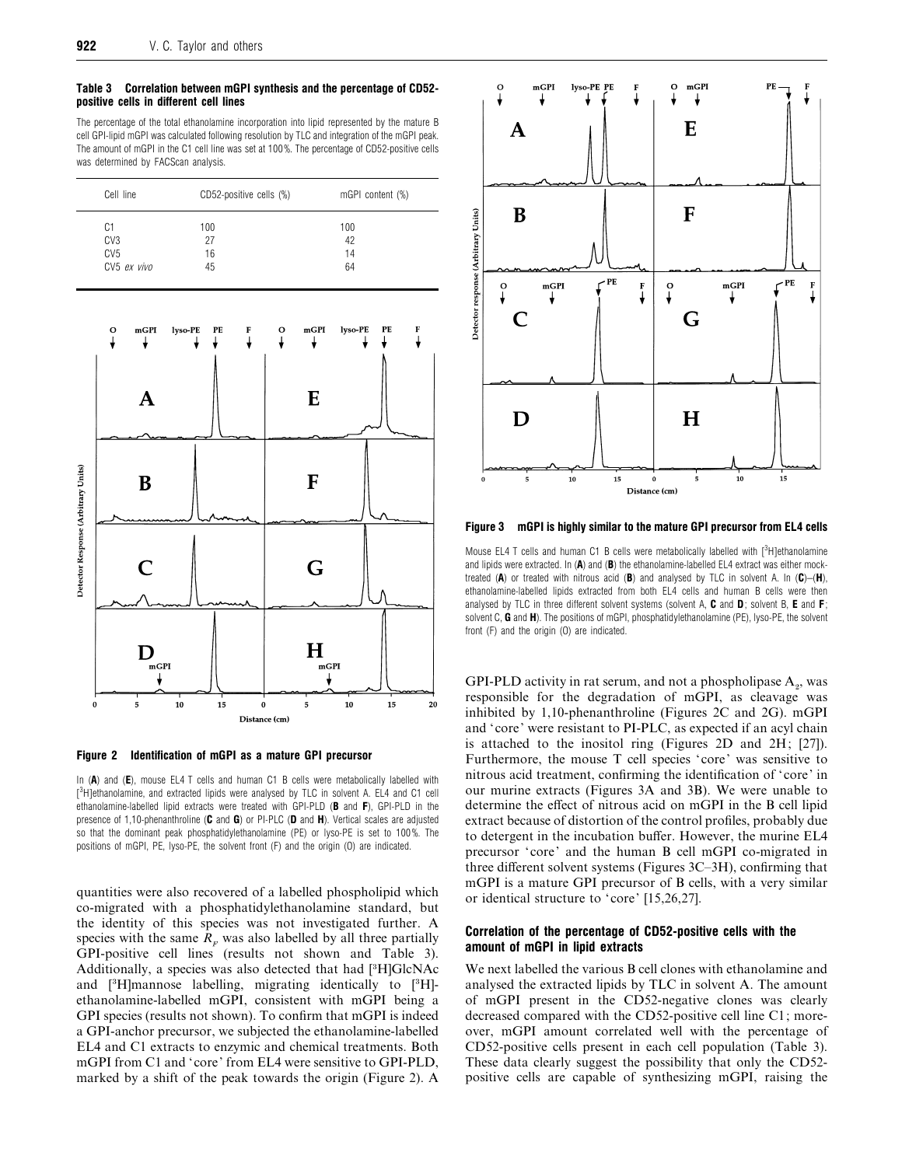#### *Table 3 Correlation between mGPI synthesis and the percentage of CD52 positive cells in different cell lines*

The percentage of the total ethanolamine incorporation into lipid represented by the mature B cell GPI-lipid mGPI was calculated following resolution by TLC and integration of the mGPI peak. The amount of mGPI in the C1 cell line was set at 100 %. The percentage of CD52-positive cells was determined by FACScan analysis.

| Cell line       | CD52-positive cells (%) | mGPI content (%) |
|-----------------|-------------------------|------------------|
| C1              | 100                     | 100              |
| CV <sub>3</sub> | 27                      | 42               |
| CV <sub>5</sub> | 16                      | 14               |
| CV5 ex vivo     | 45                      | 64               |



*Figure 2 Identification of mGPI as a mature GPI precursor*

In (*A*) and (*E*), mouse EL4 T cells and human C1 B cells were metabolically labelled with [<sup>3</sup>H]ethanolamine, and extracted lipids were analysed by TLC in solvent A. EL4 and C1 cell ethanolamine-labelled lipid extracts were treated with GPI-PLD (*B* and *F*), GPI-PLD in the presence of 1,10-phenanthroline (*C* and *G*) or PI-PLC (*D* and *H*). Vertical scales are adjusted so that the dominant peak phosphatidylethanolamine (PE) or lyso-PE is set to 100 %. The positions of mGPI, PE, lyso-PE, the solvent front (F) and the origin (O) are indicated.

quantities were also recovered of a labelled phospholipid which co-migrated with a phosphatidylethanolamine standard, but the identity of this species was not investigated further. A species with the same  $R_F$  was also labelled by all three partially GPI-positive cell lines (results not shown and Table 3). Additionally, a species was also detected that had [3H]GlcNAc and  $[{}^{3}H]$ mannose labelling, migrating identically to  $[{}^{3}H]$ ethanolamine-labelled mGPI, consistent with mGPI being a GPI species (results not shown). To confirm that mGPI is indeed a GPI-anchor precursor, we subjected the ethanolamine-labelled EL4 and C1 extracts to enzymic and chemical treatments. Both mGPI from C1 and 'core' from EL4 were sensitive to GPI-PLD, marked by a shift of the peak towards the origin (Figure 2). A



*Figure 3 mGPI is highly similar to the mature GPI precursor from EL4 cells*

Mouse EL4 T cells and human C1 B cells were metabolically labelled with  $[3H]$ ethanolamine and lipids were extracted. In  $(A)$  and  $(B)$  the ethanolamine-labelled  $E$ L4 extract was either mocktreated (*A*) or treated with nitrous acid (*B*) and analysed by TLC in solvent A. In (*C*)–(*H*), ethanolamine-labelled lipids extracted from both EL4 cells and human B cells were then analysed by TLC in three different solvent systems (solvent A, *C* and *D*; solvent B, *E* and *F*; solvent C, *G* and *H*). The positions of mGPI, phosphatidylethanolamine (PE), lyso-PE, the solvent front (F) and the origin (O) are indicated.

GPI-PLD activity in rat serum, and not a phospholipase  $A_{2}$ , was responsible for the degradation of mGPI, as cleavage was inhibited by 1,10-phenanthroline (Figures 2C and 2G). mGPI and 'core' were resistant to PI-PLC, as expected if an acyl chain is attached to the inositol ring (Figures 2D and 2H; [27]). Furthermore, the mouse T cell species 'core' was sensitive to nitrous acid treatment, confirming the identification of 'core' in our murine extracts (Figures 3A and 3B). We were unable to determine the effect of nitrous acid on mGPI in the B cell lipid extract because of distortion of the control profiles, probably due to detergent in the incubation buffer. However, the murine EL4 precursor 'core' and the human B cell mGPI co-migrated in three different solvent systems (Figures 3C–3H), confirming that mGPI is a mature GPI precursor of B cells, with a very similar or identical structure to 'core' [15,26,27].

## *Correlation of the percentage of CD52-positive cells with the amount of mGPI in lipid extracts*

We next labelled the various B cell clones with ethanolamine and analysed the extracted lipids by TLC in solvent A. The amount of mGPI present in the CD52-negative clones was clearly decreased compared with the CD52-positive cell line C1; moreover, mGPI amount correlated well with the percentage of CD52-positive cells present in each cell population (Table 3). These data clearly suggest the possibility that only the CD52 positive cells are capable of synthesizing mGPI, raising the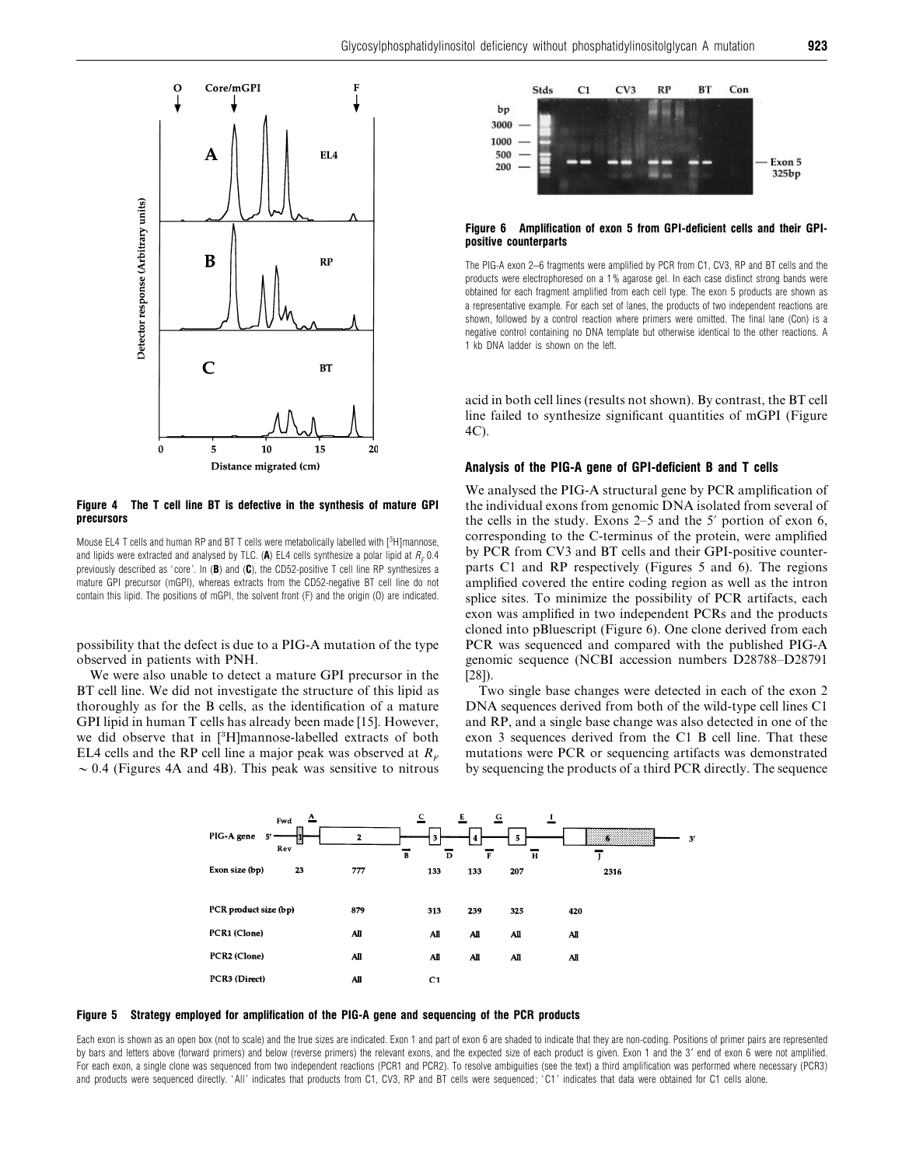

#### *Figure 4 The T cell line BT is defective in the synthesis of mature GPI precursors*

Mouse EL4 T cells and human RP and BT T cells were metabolically labelled with [<sup>3</sup>H]mannose, and lipids were extracted and analysed by TLC. (A) EL4 cells synthesize a polar lipid at  $R_F$  0.4 previously described as 'core'. In (**B**) and (C), the CD52-positive T cell line RP synthesizes a mature GPI precursor (mGPI), whereas extracts from the CD52-negative BT cell line do not contain this lipid. The positions of mGPI, the solvent front (F) and the origin (O) are indicated.

possibility that the defect is due to a PIG-A mutation of the type observed in patients with PNH.

We were also unable to detect a mature GPI precursor in the BT cell line. We did not investigate the structure of this lipid as thoroughly as for the B cells, as the identification of a mature GPI lipid in human T cells has already been made [15]. However, we did observe that in [\$H]mannose-labelled extracts of both EL4 cells and the RP cell line a major peak was observed at  $R_F \sim 0.4$  (Figures 4A and 4B). This peak was sensitive to nitrous



#### *Figure 6 Amplification of exon 5 from GPI-deficient cells and their GPIpositive counterparts*

The PIG-A exon 2–6 fragments were amplified by PCR from C1, CV3, RP and BT cells and the products were electrophoresed on a 1 % agarose gel. In each case distinct strong bands were obtained for each fragment amplified from each cell type. The exon 5 products are shown as a representative example. For each set of lanes, the products of two independent reactions are shown, followed by a control reaction where primers were omitted. The final lane (Con) is a negative control containing no DNA template but otherwise identical to the other reactions. A 1 kb DNA ladder is shown on the left.

acid in both cell lines (results not shown). By contrast, the BT cell line failed to synthesize significant quantities of mGPI (Figure 4C).

## *Analysis of the PIG-A gene of GPI-deficient B and T cells*

We analysed the PIG-A structural gene by PCR amplification of the individual exons from genomic DNA isolated from several of the cells in the study. Exons  $2-5$  and the 5' portion of exon 6, corresponding to the C-terminus of the protein, were amplified by PCR from CV3 and BT cells and their GPI-positive counterparts C1 and RP respectively (Figures 5 and 6). The regions amplified covered the entire coding region as well as the intron splice sites. To minimize the possibility of PCR artifacts, each exon was amplified in two independent PCRs and the products cloned into pBluescript (Figure 6). One clone derived from each PCR was sequenced and compared with the published PIG-A genomic sequence (NCBI accession numbers D28788–D28791 [28]).

Two single base changes were detected in each of the exon 2 DNA sequences derived from both of the wild-type cell lines C1 and RP, and a single base change was also detected in one of the exon 3 sequences derived from the C1 B cell line. That these mutations were PCR or sequencing artifacts was demonstrated by sequencing the products of a third PCR directly. The sequence





Each exon is shown as an open box (not to scale) and the true sizes are indicated. Exon 1 and part of exon 6 are shaded to indicate that they are non-coding. Positions of primer pairs are represented by bars and letters above (forward primers) and below (reverse primers) the relevant exons, and the expected size of each product is given. Exon 1 and the 3' end of exon 6 were not amplified. For each exon, a single clone was sequenced from two independent reactions (PCR1 and PCR2). To resolve ambiguities (see the text) a third amplification was performed where necessary (PCR3) and products were sequenced directly. 'All' indicates that products from C1, CV3, RP and BT cells were sequenced; 'C1' indicates that data were obtained for C1 cells alone.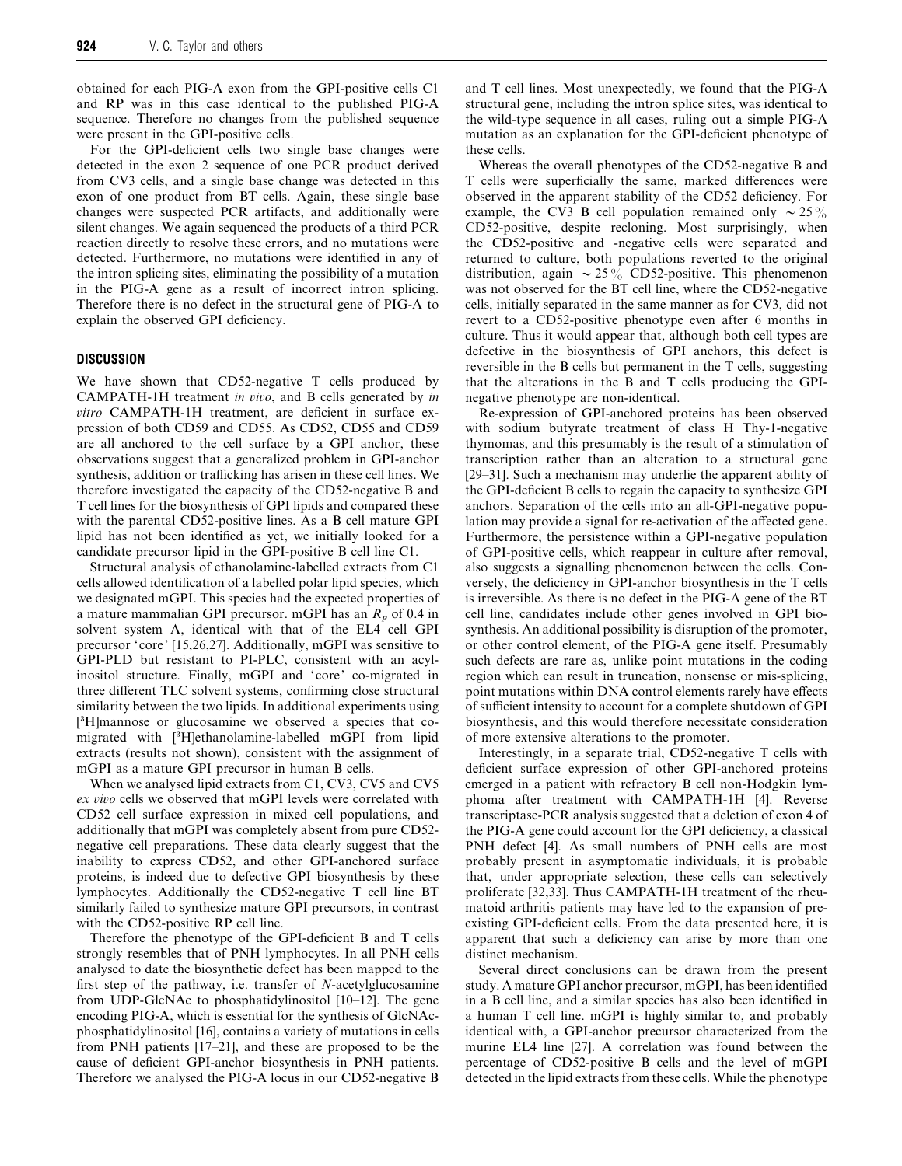obtained for each PIG-A exon from the GPI-positive cells C1 and RP was in this case identical to the published PIG-A sequence. Therefore no changes from the published sequence were present in the GPI-positive cells.

For the GPI-deficient cells two single base changes were detected in the exon 2 sequence of one PCR product derived from CV3 cells, and a single base change was detected in this exon of one product from BT cells. Again, these single base changes were suspected PCR artifacts, and additionally were silent changes. We again sequenced the products of a third PCR reaction directly to resolve these errors, and no mutations were detected. Furthermore, no mutations were identified in any of the intron splicing sites, eliminating the possibility of a mutation in the PIG-A gene as a result of incorrect intron splicing. Therefore there is no defect in the structural gene of PIG-A to explain the observed GPI deficiency.

## *DISCUSSION*

We have shown that CD52-negative T cells produced by CAMPATH-1H treatment *in io*, and B cells generated by *in itro* CAMPATH-1H treatment, are deficient in surface expression of both CD59 and CD55. As CD52, CD55 and CD59 are all anchored to the cell surface by a GPI anchor, these observations suggest that a generalized problem in GPI-anchor synthesis, addition or trafficking has arisen in these cell lines. We therefore investigated the capacity of the CD52-negative B and T cell lines for the biosynthesis of GPI lipids and compared these with the parental CD52-positive lines. As a B cell mature GPI lipid has not been identified as yet, we initially looked for a candidate precursor lipid in the GPI-positive B cell line C1.

Structural analysis of ethanolamine-labelled extracts from C1 cells allowed identification of a labelled polar lipid species, which we designated mGPI. This species had the expected properties of a mature mammalian GPI precursor. mGPI has an  $R<sub>F</sub>$  of 0.4 in solvent system A, identical with that of the EL4 cell GPI precursor 'core' [15,26,27]. Additionally, mGPI was sensitive to GPI-PLD but resistant to PI-PLC, consistent with an acylinositol structure. Finally, mGPI and 'core' co-migrated in three different TLC solvent systems, confirming close structural similarity between the two lipids. In additional experiments using [\$H]mannose or glucosamine we observed a species that comigrated with [\$H]ethanolamine-labelled mGPI from lipid extracts (results not shown), consistent with the assignment of mGPI as a mature GPI precursor in human B cells.

When we analysed lipid extracts from C1, CV3, CV5 and CV5 *ex io* cells we observed that mGPI levels were correlated with CD52 cell surface expression in mixed cell populations, and additionally that mGPI was completely absent from pure CD52 negative cell preparations. These data clearly suggest that the inability to express CD52, and other GPI-anchored surface proteins, is indeed due to defective GPI biosynthesis by these lymphocytes. Additionally the CD52-negative T cell line BT similarly failed to synthesize mature GPI precursors, in contrast with the CD52-positive RP cell line.

Therefore the phenotype of the GPI-deficient B and T cells strongly resembles that of PNH lymphocytes. In all PNH cells analysed to date the biosynthetic defect has been mapped to the first step of the pathway, i.e. transfer of *N*-acetylglucosamine from UDP-GlcNAc to phosphatidylinositol [10–12]. The gene encoding PIG-A, which is essential for the synthesis of GlcNAcphosphatidylinositol [16], contains a variety of mutations in cells from PNH patients [17–21], and these are proposed to be the cause of deficient GPI-anchor biosynthesis in PNH patients. Therefore we analysed the PIG-A locus in our CD52-negative B

and T cell lines. Most unexpectedly, we found that the PIG-A structural gene, including the intron splice sites, was identical to the wild-type sequence in all cases, ruling out a simple PIG-A mutation as an explanation for the GPI-deficient phenotype of these cells.

Whereas the overall phenotypes of the CD52-negative B and T cells were superficially the same, marked differences were observed in the apparent stability of the CD52 deficiency. For example, the CV3 B cell population remained only  $\sim 25\%$ CD52-positive, despite recloning. Most surprisingly, when the CD52-positive and -negative cells were separated and returned to culture, both populations reverted to the original distribution, again  $\sim 25\%$  CD52-positive. This phenomenon was not observed for the BT cell line, where the CD52-negative cells, initially separated in the same manner as for CV3, did not revert to a CD52-positive phenotype even after 6 months in culture. Thus it would appear that, although both cell types are defective in the biosynthesis of GPI anchors, this defect is reversible in the B cells but permanent in the T cells, suggesting that the alterations in the B and T cells producing the GPInegative phenotype are non-identical.

Re-expression of GPI-anchored proteins has been observed with sodium butyrate treatment of class H Thy-1-negative thymomas, and this presumably is the result of a stimulation of transcription rather than an alteration to a structural gene [29–31]. Such a mechanism may underlie the apparent ability of the GPI-deficient B cells to regain the capacity to synthesize GPI anchors. Separation of the cells into an all-GPI-negative population may provide a signal for re-activation of the affected gene. Furthermore, the persistence within a GPI-negative population of GPI-positive cells, which reappear in culture after removal, also suggests a signalling phenomenon between the cells. Conversely, the deficiency in GPI-anchor biosynthesis in the T cells is irreversible. As there is no defect in the PIG-A gene of the BT cell line, candidates include other genes involved in GPI biosynthesis. An additional possibility is disruption of the promoter, or other control element, of the PIG-A gene itself. Presumably such defects are rare as, unlike point mutations in the coding region which can result in truncation, nonsense or mis-splicing, point mutations within DNA control elements rarely have effects of sufficient intensity to account for a complete shutdown of GPI biosynthesis, and this would therefore necessitate consideration of more extensive alterations to the promoter.

Interestingly, in a separate trial, CD52-negative T cells with deficient surface expression of other GPI-anchored proteins emerged in a patient with refractory B cell non-Hodgkin lymphoma after treatment with CAMPATH-1H [4]. Reverse transcriptase-PCR analysis suggested that a deletion of exon 4 of the PIG-A gene could account for the GPI deficiency, a classical PNH defect [4]. As small numbers of PNH cells are most probably present in asymptomatic individuals, it is probable that, under appropriate selection, these cells can selectively proliferate [32,33]. Thus CAMPATH-1H treatment of the rheumatoid arthritis patients may have led to the expansion of preexisting GPI-deficient cells. From the data presented here, it is apparent that such a deficiency can arise by more than one distinct mechanism.

Several direct conclusions can be drawn from the present study. A mature GPI anchor precursor, mGPI, has been identified in a B cell line, and a similar species has also been identified in a human T cell line. mGPI is highly similar to, and probably identical with, a GPI-anchor precursor characterized from the murine EL4 line [27]. A correlation was found between the percentage of CD52-positive B cells and the level of mGPI detected in the lipid extracts from these cells. While the phenotype